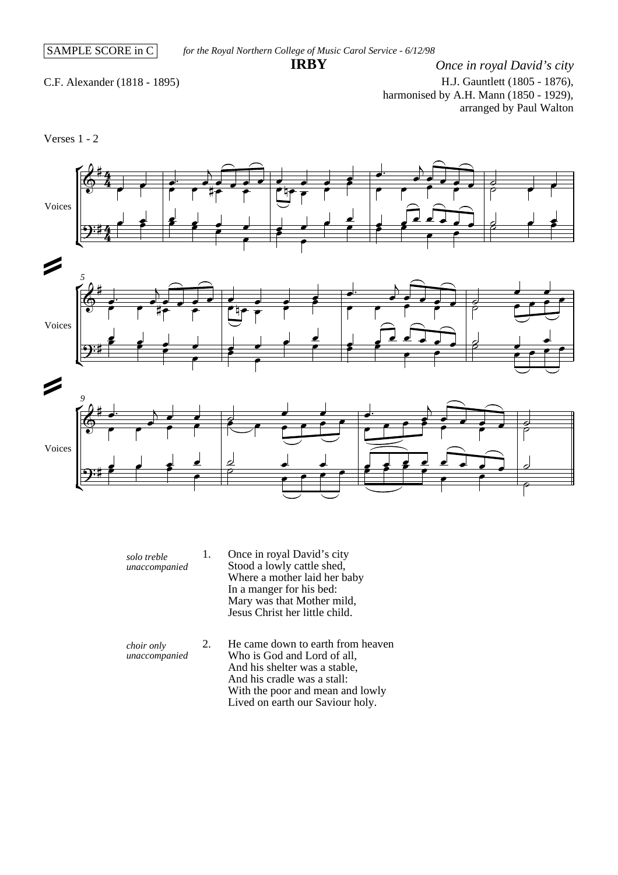## **IRBY**

C.F. Alexander (1818 - 1895)

*Once in royal David's city* H.J. Gauntlett (1805 - 1876), harmonised by A.H. Mann (1850 - 1929), arranged by Paul Walton

Verses 1 - 2



- *solo treble unaccompanied* 1. Once in royal David's city Stood a lowly cattle shed, Where a mother laid her baby In a manger for his bed: Mary was that Mother mild, Jesus Christ her little child.
- *choir only unaccompanied* 2. He came down to earth from heaven Who is God and Lord of all, And his shelter was a stable, And his cradle was a stall: With the poor and mean and lowly Lived on earth our Saviour holy.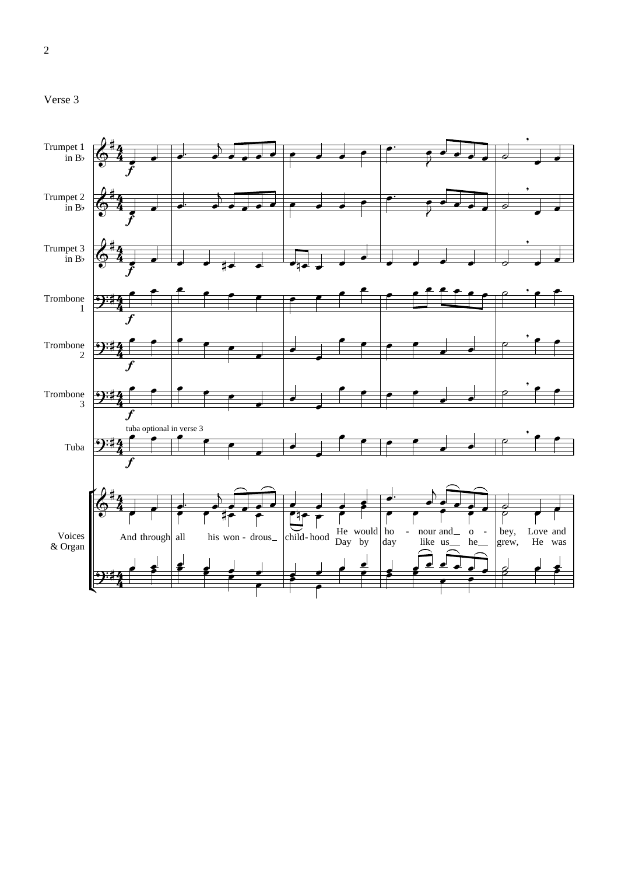

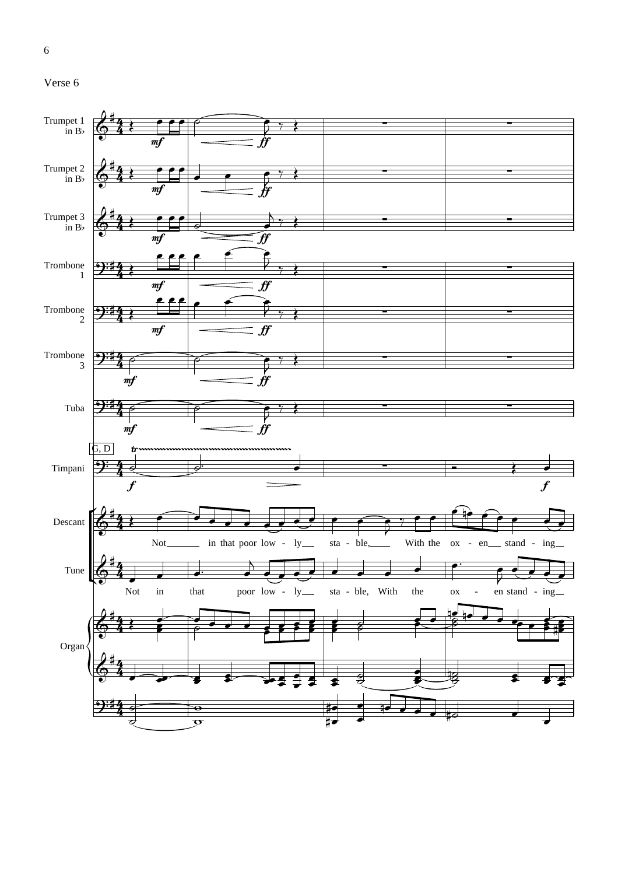



6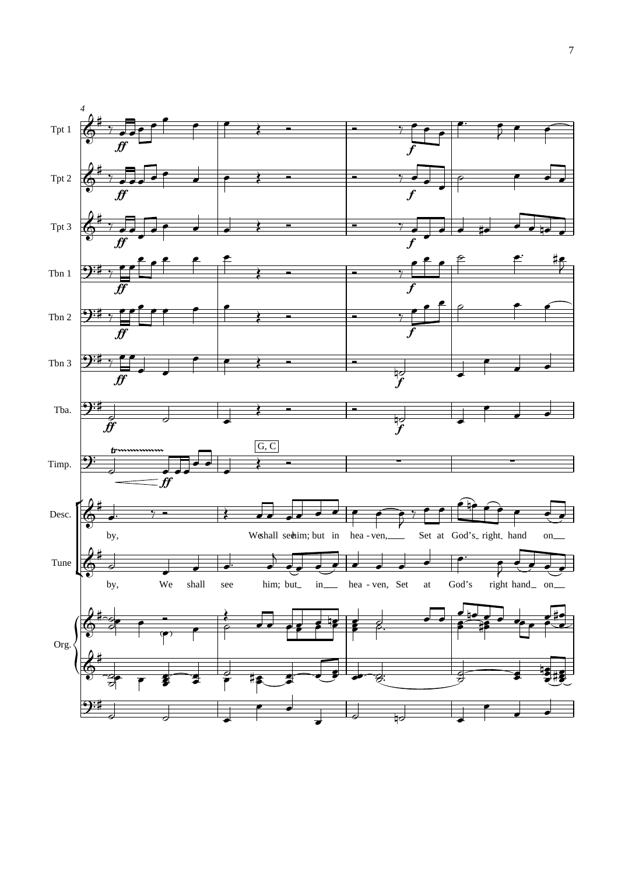